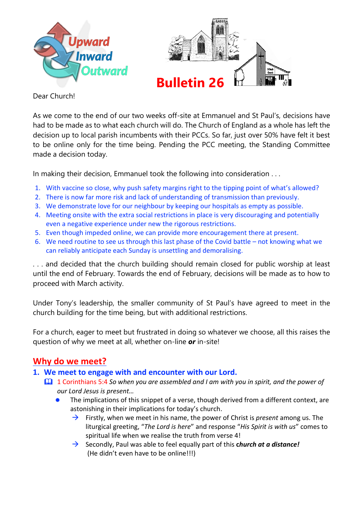



Dear Church!

As we come to the end of our two weeks off-site at Emmanuel and St Paul's, decisions have had to be made as to what each church will do. The Church of England as a whole has left the decision up to local parish incumbents with their PCCs. So far, just over 50% have felt it best to be online only for the time being. Pending the PCC meeting, the Standing Committee made a decision today.

In making their decision, Emmanuel took the following into consideration . . .

- 1. With vaccine so close, why push safety margins right to the tipping point of what's allowed?
- 2. There is now far more risk and lack of understanding of transmission than previously.
- 3. We demonstrate love for our neighbour by keeping our hospitals as empty as possible.
- 4. Meeting onsite with the extra social restrictions in place is very discouraging and potentially even a negative experience under new the rigorous restrictions.
- 5. Even though impeded online, we can provide more encouragement there at present.
- 6. We need routine to see us through this last phase of the Covid battle not knowing what we can reliably anticipate each Sunday is unsettling and demoralising.

. . . and decided that the church building should remain closed for public worship at least until the end of February. Towards the end of February, decisions will be made as to how to proceed with March activity.

Under Tony's leadership, the smaller community of St Paul's have agreed to meet in the church building for the time being, but with additional restrictions.

For a church, eager to meet but frustrated in doing so whatever we choose, all this raises the question of why we meet at all, whether on-line *or* in-site!

## **Why do we meet?**

- **1. We meet to engage with and encounter with our Lord.**
	- 1 Corinthians 5:4 *So when you are assembled and I am with you in spirit, and the power of our Lord Jesus is present…*
		- The implications of this snippet of a verse, though derived from a different context, are astonishing in their implications for today's church.
			- → Firstly, when we meet in his name, the power of Christ is *present* among us. The liturgical greeting, "*The Lord is here*" and response "*His Spirit is with us*" comes to spiritual life when we realise the truth from verse 4!
			- → Secondly, Paul was able to feel equally part of this **c***hurch at a distance!*  (He didn't even have to be online!!!)